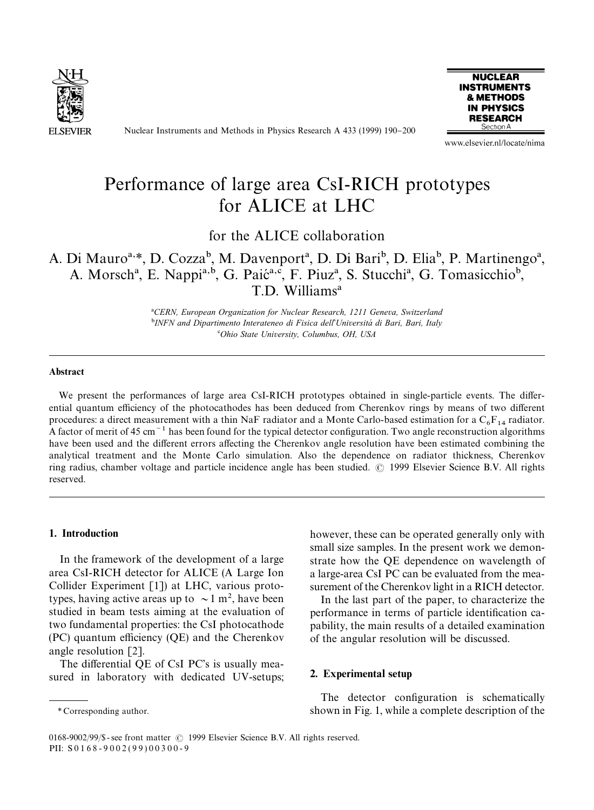

Nuclear Instruments and Methods in Physics Research A 433 (1999) 190-200



www.elsevier.nl/locate/nima

## Performance of large area CsI-RICH prototypes for ALICE at LHC

for the ALICE collaboration

## A. Di Mauro<sup>a,\*</sup>, D. Cozza<sup>b</sup>, M. Davenport<sup>a</sup>, D. Di Bari<sup>b</sup>, D. Elia<sup>b</sup>, P. Martinengo<sup>a</sup>, A. Morsch<sup>a</sup>, E. Nappi<sup>a,b</sup>, G. Paić<sup>a,c</sup>, F. Piuz<sup>a</sup>, S. Stucchi<sup>a</sup>, G. Tomasicchio<sup>b</sup>, T.D. Williams!

!*CERN, European Organization for Nuclear Research, 1211 Geneva, Switzerland* "*INFN and Dipartimento Interateneo di Fisica dell*'*Universita*& *di Bari, Bari, Italy* #*Ohio State University, Columbus, OH, USA*

#### **Abstract**

We present the performances of large area CsI-RICH prototypes obtained in single-particle events. The differential quantum efficiency of the photocathodes has been deduced from Cherenkov rings by means of two different procedures: a direct measurement with a thin NaF radiator and a Monte Carlo-based estimation for a  $C_6F_{14}$  radiator. A factor of merit of 45 cm<sup> $-1$ </sup> has been found for the typical detector configuration. Two angle reconstruction algorithms have been used and the different errors affecting the Cherenkov angle resolution have been estimated combining the analytical treatment and the Monte Carlo simulation. Also the dependence on radiator thickness, Cherenkov ring radius, chamber voltage and particle incidence angle has been studied. © 1999 Elsevier Science B.V. All rights reserved.

#### 1. Introduction

In the framework of the development of a large area CsI-RICH detector for ALICE (A Large Ion Collider Experiment [1]) at LHC, various prototypes, having active areas up to  $\sim 1 \text{ m}^2$ , have been studied in beam tests aiming at the evaluation of two fundamental properties: the CsI photocathode  $(PC)$  quantum efficiency  $(QE)$  and the Cherenkov angle resolution [2].

The differential QE of CsI PC's is usually measured in laboratory with dedicated UV-setups;

In the last part of the paper, to characterize the performance in terms of particle identification capability, the main results of a detailed examination of the angular resolution will be discussed.

#### 2. Experimental setup

The detector configuration is schematically shown in Fig. 1, while a complete description of the

however, these can be operated generally only with small size samples. In the present work we demonstrate how the QE dependence on wavelength of a large-area CsI PC can be evaluated from the measurement of the Cherenkov light in a RICH detector.

*<sup>\*</sup>* Corresponding author.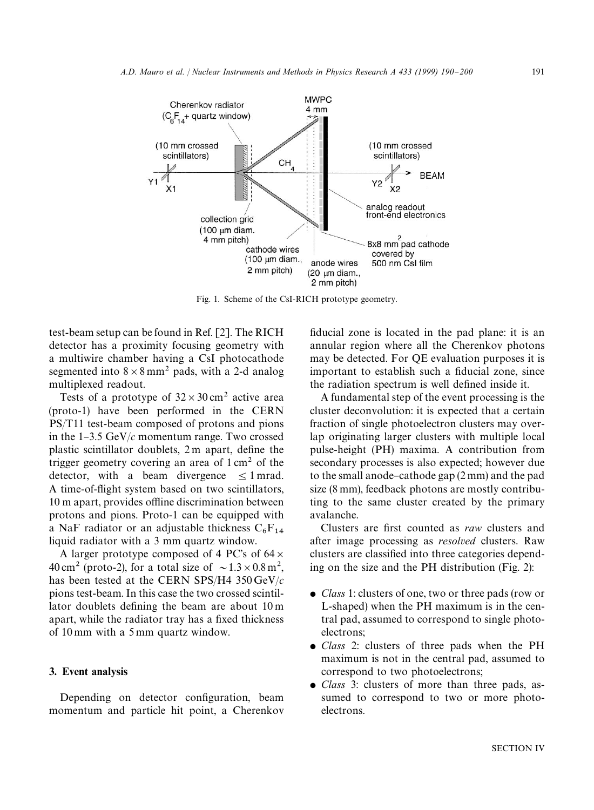

Fig. 1. Scheme of the CsI-RICH prototype geometry.

test-beam setup can be found in Ref. [2]. The RICH detector has a proximity focusing geometry with a multiwire chamber having a CsI photocathode segmented into  $8 \times 8$  mm<sup>2</sup> pads, with a 2-d analog multiplexed readout.

Tests of a prototype of  $32 \times 30 \text{ cm}^2$  active area (proto-1) have been performed in the CERN PS/T11 test-beam composed of protons and pions in the  $1-3.5$  GeV/ $c$  momentum range. Two crossed plastic scintillator doublets, 2m apart, define the trigger geometry covering an area of  $1 \text{ cm}^2$  of the detector, with a beam divergence  $\leq 1$  mrad. A time-of-flight system based on two scintillators, 10 m apart, provides offline discrimination between protons and pions. Proto-1 can be equipped with a NaF radiator or an adjustable thickness  $C_6F_{14}$ <br>liquid radiator with a 3 mm quartz window.

A larger prototype composed of 4 PC's of  $64 \times$ 40 cm<sup>2</sup> (proto-2), for a total size of  $\sim 1.3 \times 0.8 \text{ m}^2$ , has been tested at the CERN SPS/H4 350 GeV/*c* pions test-beam. In this case the two crossed scintillator doublets defining the beam are about  $10 \text{ m}$ apart, while the radiator tray has a fixed thickness of 10 mm with a 5 mm quartz window.

#### 3. Event analysis

Depending on detector configuration, beam momentum and particle hit point, a Cherenkov fiducial zone is located in the pad plane: it is an annular region where all the Cherenkov photons may be detected. For QE evaluation purposes it is important to establish such a fiducial zone, since the radiation spectrum is well defined inside it.

A fundamental step of the event processing is the cluster deconvolution: it is expected that a certain fraction of single photoelectron clusters may overlap originating larger clusters with multiple local pulse-height (PH) maxima. A contribution from secondary processes is also expected; however due to the small anode-cathode gap  $(2 \text{ mm})$  and the pad size (8 mm), feedback photons are mostly contributing to the same cluster created by the primary avalanche.

Clusters are first counted as *raw* clusters and after image processing as *resolved* clusters. Raw clusters are classified into three categories depending on the size and the PH distribution (Fig. 2):

- *Class* 1: clusters of one, two or three pads (row or L-shaped) when the PH maximum is in the central pad, assumed to correspond to single photoelectrons;
- *Class* 2: clusters of three pads when the PH maximum is not in the central pad, assumed to correspond to two photoelectrons;
- *Class* 3: clusters of more than three pads, assumed to correspond to two or more photoelectrons.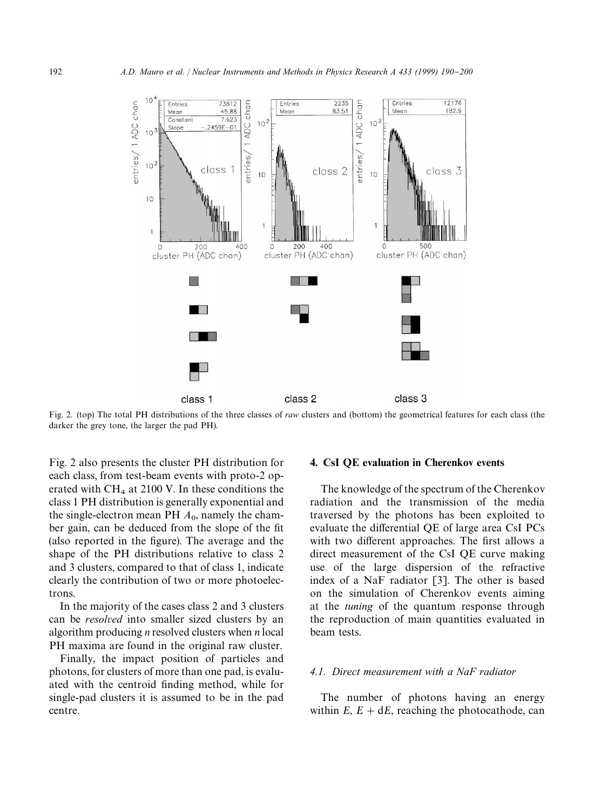

Fig. 2. (top) The total PH distributions of the three classes of *raw* clusters and (bottom) the geometrical features for each class (the darker the grey tone, the larger the pad PH).

Fig. 2 also presents the cluster PH distribution for each class, from test-beam events with proto-2 operated with  $CH_4$  at 2100 V. In these conditions the class 1 PH distribution is generally exponential and the single-electron mean PH  $A_0$ , namely the chamber gain, can be deduced from the slope of the fit (also reported in the figure). The average and the shape of the PH distributions relative to class 2 and 3 clusters, compared to that of class 1, indicate clearly the contribution of two or more photoelectrons.

In the majority of the cases class 2 and 3 clusters can be *resolved* into smaller sized clusters by an algorithm producing *n* resolved clusters when *n* local PH maxima are found in the original raw cluster.

Finally, the impact position of particles and photons, for clusters of more than one pad, is evaluated with the centroid finding method, while for single-pad clusters it is assumed to be in the pad centre.

#### 4. CsI QE evaluation in Cherenkov events

The knowledge of the spectrum of the Cherenkov radiation and the transmission of the media traversed by the photons has been exploited to evaluate the differential QE of large area CsI PCs with two different approaches. The first allows a direct measurement of the CsI QE curve making use of the large dispersion of the refractive index of a NaF radiator [3]. The other is based on the simulation of Cherenkov events aiming at the *tuning* of the quantum response through the reproduction of main quantities evaluated in beam tests.

#### *4.1. Direct measurement with a NaF radiator*

The number of photons having an energy within  $E$ ,  $E + dE$ , reaching the photocathode, can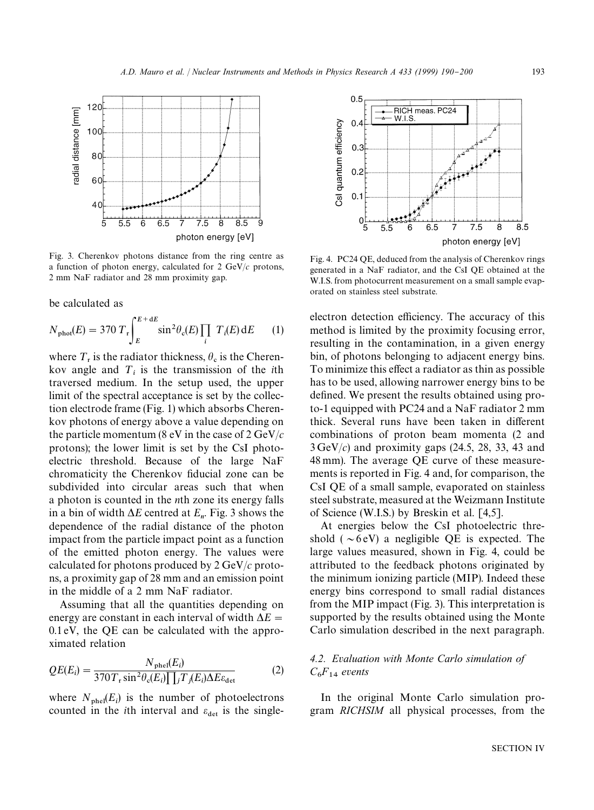

Fig. 3. Cherenkov photons distance from the ring centre as a function of photon energy, calculated for 2 GeV/*c* protons, 2 mm NaF radiator and 28 mm proximity gap.

be calculated as

$$
N_{\text{phot}}(E) = 370 \ T_{\text{r}} \int_{E}^{E + dE} \sin^2 \theta_{\text{c}}(E) \prod_{i} \ T_{i}(E) dE \qquad (1)
$$

where  $T_r$  is the radiator thickness,  $\theta_c$  is the Cherenkov angle and  $T_i$  is the transmission of the *i*th traversed medium. In the setup used, the upper limit of the spectral acceptance is set by the collection electrode frame (Fig. 1) which absorbs Cherenkov photons of energy above a value depending on the particle momentum (8 eV in the case of 2 GeV/*c* protons); the lower limit is set by the CsI photoelectric threshold. Because of the large NaF chromaticity the Cherenkov fiducial zone can be subdivided into circular areas such that when a photon is counted in the *n*th zone its energy falls in a bin of width  $\Delta E$  centred at  $E_n$ . Fig. 3 shows the dependence of the radial distance of the photon impact from the particle impact point as a function of the emitted photon energy. The values were calculated for photons produced by 2 GeV/*c* protons, a proximity gap of 28 mm and an emission point in the middle of a 2 mm NaF radiator.

Assuming that all the quantities depending on energy are constant in each interval of width  $\Delta E =$ 0.1 eV, the QE can be calculated with the approximated relation

$$
QE(E_i) = \frac{N_{\text{phel}}(E_i)}{370T_r \sin^2\theta_c(E_i)\prod_j T_j(E_i)\Delta E\epsilon_{\text{det}}}
$$
(2)

where  $N_{\text{phel}}(E_i)$  is the number of photoelectrons counted in the *i*th interval and  $\varepsilon_{\text{det}}$  is the single-



Fig. 4. PC24 QE, deduced from the analysis of Cherenkov rings generated in a NaF radiator, and the CsI QE obtained at the W.I.S. from photocurrent measurement on a small sample evaporated on stainless steel substrate.

electron detection efficiency. The accuracy of this method is limited by the proximity focusing error, resulting in the contamination, in a given energy bin, of photons belonging to adjacent energy bins. To minimize this effect a radiator as thin as possible has to be used, allowing narrower energy bins to be defined. We present the results obtained using proto-1 equipped with PC24 and a NaF radiator 2 mm thick. Several runs have been taken in different combinations of proton beam momenta (2 and 3 GeV/*c*) and proximity gaps (24.5, 28, 33, 43 and 48 mm). The average QE curve of these measurements is reported in Fig. 4 and, for comparison, the CsI QE of a small sample, evaporated on stainless steel substrate, measured at the Weizmann Institute of Science (W.I.S.) by Breskin et al. [4,5].

At energies below the CsI photoelectric threshold ( $\sim$ 6 eV) a negligible QE is expected. The large values measured, shown in Fig. 4, could be attributed to the feedback photons originated by the minimum ionizing particle (MIP). Indeed these energy bins correspond to small radial distances from the MIP impact (Fig. 3). This interpretation is supported by the results obtained using the Monte Carlo simulation described in the next paragraph.

### *4.2. Evaluation with Monte Carlo simulation of*  $C_6F_{14}$  *events*

In the original Monte Carlo simulation program *RICHSIM* all physical processes, from the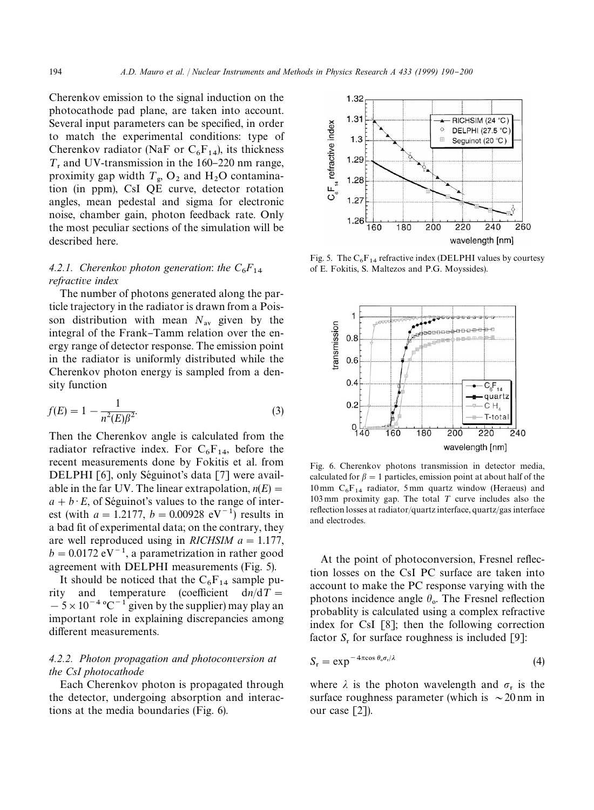Cherenkov emission to the signal induction on the photocathode pad plane, are taken into account. Several input parameters can be specified, in order to match the experimental conditions: type of Cherenkov radiator (NaF or  $C_6F_{14}$ ), its thickness  $T_r$  and UV-transmission in the 160–220 nm range, proximity gap width  $T_{\rm g}$ , O<sub>2</sub> and H<sub>2</sub>O contamina tion (in ppm), CsI QE curve, detector rotation angles, mean pedestal and sigma for electronic noise, chamber gain, photon feedback rate. Only the most peculiar sections of the simulation will be described here.

# *4.2.1. Cherenko<sup>v</sup> photon generation*: *the C*<sup>6</sup> *<sup>F</sup>*<sup>14</sup> *refractive index*

The number of photons generated along the particle trajectory in the radiator is drawn from a Poisson distribution with mean  $N_{av}$  given by the integral of the Frank–Tamm relation over the energy range of detector response. The emission point in the radiator is uniformly distributed while the Cherenkov photon energy is sampled from a density function

$$
f(E) = 1 - \frac{1}{n^2(E)\beta^2}.
$$
 (3)

Then the Cherenkov angle is calculated from the radiator refractive index. For  $C_6F_{14}$ , before the recent measurements done by Fokitis et al. from DELPHI [6], only Séguinot's data  $[7]$  were available in the far UV. The linear extrapolation,  $n(E)$  =  $a + b \cdot E$ , of Séguinot's values to the range of interest (with  $a = 1.2177$ ,  $b = 0.00928$  eV<sup>-1</sup>) results in a bad fit of experimental data; on the contrary, they are well reproduced using in *RICHSIM*  $a = 1.177$ ,  $b = 0.0172$  eV<sup>-1</sup>, a parametrization in rather good agreement with DELPHI measurements (Fig. 5).

It should be noticed that the  $C_6F_{14}$  sample purity and temperature (coefficient  $dn/dT =$  $-5 \times 10^{-4}$  °C<sup>-1</sup> given by the supplier) may play an important role in explaining discrepancies among different measurements.

#### *4.2.2. Photon propagation and photoconversion at the CsI photocathode*

Each Cherenkov photon is propagated through the detector, undergoing absorption and interactions at the media boundaries (Fig. 6).



Fig. 5. The  $C_6F_{14}$  refractive index (DELPHI values by courtesy of E. Fokitis, S. Maltezos and P.G. Moyssides).



Fig. 6. Cherenkov photons transmission in detector media, calculated for  $\beta = 1$  particles, emission point at about half of the 10 mm  $C_6F_{14}$  radiator, 5 mm quartz window (Heraeus) and 103 mm proximity gap. The total  $T$  curve includes also the reflection losses at radiator/quartz interface, quartz/gas interface and electrodes.

At the point of photoconversion, Fresnel reflection losses on the CsI PC surface are taken into account to make the PC response varying with the photons incidence angle  $\theta_{o}$ . The Fresnel reflection probablity is calculated using a complex refractive index for CsI [8]; then the following correction factor  $S_r$  for surface roughness is included [9]:

$$
S_r = \exp^{-4\pi \cos \theta_o \sigma_r/\lambda} \tag{4}
$$

where  $\lambda$  is the photon wavelength and  $\sigma_r$  is the surface roughness parameter (which is  $\sim$  20 nm in our case [2]).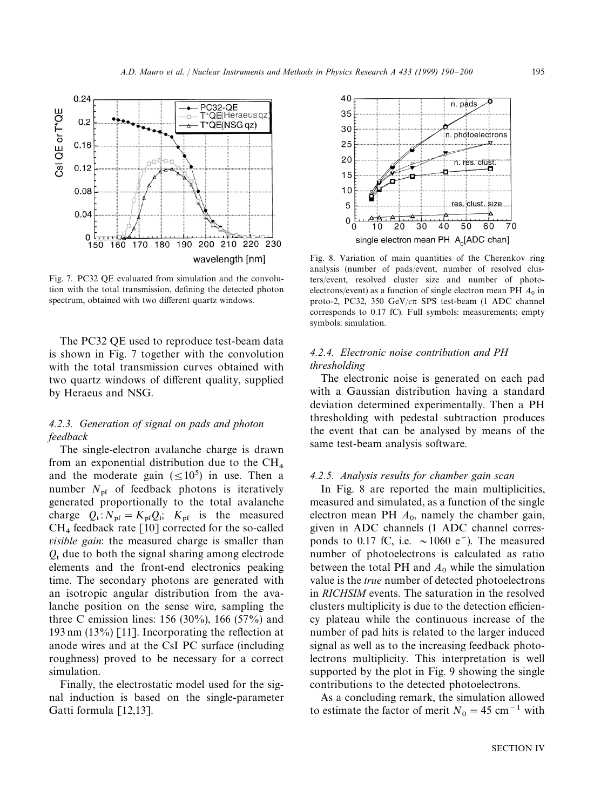

Fig. 7. PC32 QE evaluated from simulation and the convolution with the total transmission, defining the detected photon spectrum, obtained with two different quartz windows.

The PC32 QE used to reproduce test-beam data is shown in Fig. 7 together with the convolution with the total transmission curves obtained with two quartz windows of different quality, supplied by Heraeus and NSG.

#### *4.2.3. Generation of signal on pads and photon feedback*

The single-electron avalanche charge is drawn from an exponential distribution due to the CH<sub>4</sub> and the moderate gain  $(\leq 10^5)$  in use. Then a number  $N_{\text{pf}}$  of feedback photons is iteratively generated proportionally to the total avalanche charge  $Q_t$ :  $N_{\text{pf}} = K_{\text{pf}} Q_t$ ;  $K_{\text{pf}}$  is the measured  $CH<sub>4</sub>$  feedback rate [10] corrected for the so-called *visible gain*: the measured charge is smaller than  $Q<sub>t</sub>$  due to both the signal sharing among electrode elements and the front-end electronics peaking time. The secondary photons are generated with an isotropic angular distribution from the avalanche position on the sense wire, sampling the three C emission lines:  $156 (30\%)$ ,  $166 (57\%)$  and 193 nm  $(13\%)$  [11]. Incorporating the reflection at anode wires and at the CsI PC surface (including roughness) proved to be necessary for a correct simulation.

Finally, the electrostatic model used for the signal induction is based on the single-parameter Gatti formula [12,13].



Fig. 8. Variation of main quantities of the Cherenkov ring analysis (number of pads/event, number of resolved clusters/event, resolved cluster size and number of photoelectrons/event) as a function of single electron mean PH  $A_0$  in proto-2, PC32, 350 GeV/*c*p SPS test-beam (1 ADC channel corresponds to 0.17 fC). Full symbols: measurements; empty symbols: simulation.

#### *4.2.4. Electronic noise contribution and PH thresholding*

The electronic noise is generated on each pad with a Gaussian distribution having a standard deviation determined experimentally. Then a PH thresholding with pedestal subtraction produces the event that can be analysed by means of the same test-beam analysis software.

#### *4.2.5. Analysis results for chamber gain scan*

In Fig. 8 are reported the main multiplicities, measured and simulated, as a function of the single electron mean PH  $A_0$ , namely the chamber gain, given in ADC channels (1 ADC channel corresponds to 0.17 fC, i.e.  $\sim$ 1060 e<sup>-</sup>). The measured number of photoelectrons is calculated as ratio between the total PH and  $A_0$  while the simulation value is the *true* number of detected photoelectrons in *RICHSIM* events. The saturation in the resolved clusters multiplicity is due to the detection efficiency plateau while the continuous increase of the number of pad hits is related to the larger induced signal as well as to the increasing feedback photolectrons multiplicity. This interpretation is well supported by the plot in Fig. 9 showing the single contributions to the detected photoelectrons.

As a concluding remark, the simulation allowed to estimate the factor of merit  $N_0 = 45$  cm<sup>-1</sup> with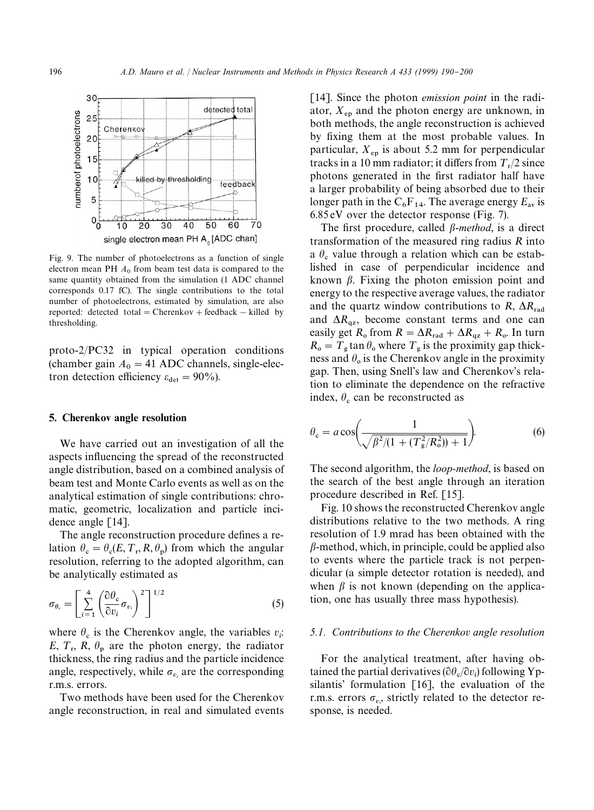

Fig. 9. The number of photoelectrons as a function of single electron mean PH  $A_0$  from beam test data is compared to the same quantity obtained from the simulation (1 ADC channel corresponds 0.17 fC). The single contributions to the total number of photoelectrons, estimated by simulation, are also reported: detected total = Cherenkov + feedback  $-$  killed by thresholding.

proto-2/PC32 in typical operation conditions (chamber gain  $A_0 = 41$  ADC channels, single-electron detection efficiency  $\varepsilon_{\text{det}} = 90\%$ ).

#### 5. Cherenkov angle resolution

We have carried out an investigation of all the aspects influencing the spread of the reconstructed angle distribution, based on a combined analysis of beam test and Monte Carlo events as well as on the analytical estimation of single contributions: chromatic, geometric, localization and particle incidence angle [14].

The angle reconstruction procedure defines a relation  $\theta_c = \theta_c(E, T_r, R, \theta_p)$  from which the angular resolution, referring to the adopted algorithm, can be analytically estimated as

$$
\sigma_{\theta_{\rm c}} = \left[ \sum_{i=1}^{4} \left( \frac{\partial \theta_{\rm c}}{\partial v_i} \sigma_{v_i} \right)^2 \right]^{1/2} \tag{5}
$$

where  $\theta_c$  is the Cherenkov angle, the variables  $v_i$ : *E*,  $T_r$ ,  $R$ ,  $\theta_p$  are the photon energy, the radiator thickness, the ring radius and the particle incidence angle, respectively, while  $\sigma_{v_i}$  are the corresponding r.m.s. errors.

Two methods have been used for the Cherenkov angle reconstruction, in real and simulated events

[14]. Since the photon *emission point* in the radiator,  $X_{ep}$  and the photon energy are unknown, in both methods, the angle reconstruction is achieved by fixing them at the most probable values. In particular,  $X_{\text{en}}$  is about 5.2 mm for perpendicular tracks in a 10 mm radiator; it differs from  $T_r/2$  since photons generated in the first radiator half have a larger probability of being absorbed due to their longer path in the  $C_6F_{14}$ . The average energy  $E_{\text{av}}$  is 6.85 eV over the detector response (Fig. 7).

The first procedure, called  $\beta$ -method, is a direct transformation of the measured ring radius *R* into a  $\theta_{\rm c}$  value through a relation which can be established in case of perpendicular incidence and known  $\beta$ . Fixing the photon emission point and energy to the respective average values, the radiator and the quartz window contributions to *R*,  $\Delta R_{rad}$  and  $\Delta R_{az}$ , become constant terms and one can easily get  $R_0$  from  $R = \Delta R_{\text{rad}} + \Delta R_{\text{qz}} + R_0$ . In turn  $R_0 = T_g \tan \theta_0$  where  $T_g$  is the proximity gap thickness and  $\theta_0$  is the Cherenkov angle in the proximity gap. Then, using Snell's law and Cherenkov's relation to eliminate the dependence on the refractive index,  $\theta_c$  can be reconstructed as

$$
\theta_{\rm c} = a \cos \left( \frac{1}{\sqrt{\beta^2/(1 + (T_{\rm g}^2/R_{\rm o}^2)) + 1}} \right). \tag{6}
$$

The second algorithm, the *loop-method*, is based on the search of the best angle through an iteration procedure described in Ref. [15].

Fig. 10 shows the reconstructed Cherenkov angle distributions relative to the two methods. A ring resolution of 1.9 mrad has been obtained with the  $\beta$ -method, which, in principle, could be applied also to events where the particle track is not perpendicular (a simple detector rotation is needed), and when  $\beta$  is not known (depending on the application, one has usually three mass hypothesis).

#### *5.1. Contributions to the Cherenkov angle resolution*

For the analytical treatment, after having obtained the partial derivatives ( $\partial \theta_c / \partial v_i$ ) following Yp silantis' formulation [16], the evaluation of the r.m.s. errors  $\sigma_{v_i}$ , strictly related to the detector response, is needed.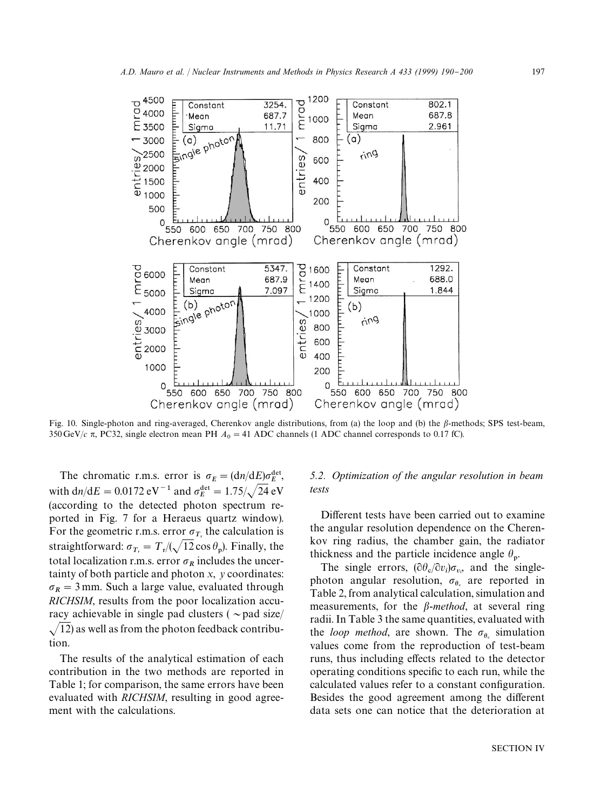

Fig. 10. Single-photon and ring-averaged, Cherenkov angle distributions, from (a) the loop and (b) the  $\beta$ -methods; SPS test-beam, 350 GeV/ $c$   $\pi$ , PC32, single electron mean PH  $A_0 = 41$  ADC channels (1 ADC channel corresponds to 0.17 fC).

The chromatic r.m.s. error is  $\sigma_E = (\frac{dn}{dE})\sigma_E^{\text{det}}$ , with d*n*/d*E* = 0.0172 eV<sup>-1</sup> and  $\sigma_E^{\text{det}} = 1.75/\sqrt{24}$  eV (according to the detected photon spectrum reported in Fig. 7 for a Heraeus quartz window). For the geometric r.m.s. error  $\sigma_{T_r}$  the calculation is straightforward:  $\sigma_{T_r} = T_r/(\sqrt{12} \cos \theta_p)$ . Finally, the total localization r.m.s. error  $\sigma_R$  includes the uncertainty of both particle and photon *x*, *y* coordinates:  $\sigma_R = 3$  mm. Such a large value, evaluated through *RICHSIM*, results from the poor localization accuracy achievable in single pad clusters ( $\sim$ pad size/  $\sqrt{12}$ ) as well as from the photon feedback contribution.

The results of the analytical estimation of each contribution in the two methods are reported in Table 1; for comparison, the same errors have been evaluated with *RICHSIM*, resulting in good agreement with the calculations.

#### *5.2. Optimization of the angular resolution in beam tests*

Different tests have been carried out to examine the angular resolution dependence on the Cherenkov ring radius, the chamber gain, the radiator thickness and the particle incidence angle  $\theta_p$ .

The single errors,  $(\partial \theta_c / \partial v_i) \sigma_{v_i}$ , and the singlephoton angular resolution,  $\sigma_{\theta_c}$  are reported in<br>Table 2 from angletical calculation simulation and Table 2, from analytical calculation, simulation and measurements, for the  $\beta$ -method, at several ring radii. In Table 3 the same quantities, evaluated with the *loop method*, are shown. The  $\sigma_{\theta_c}$  simulation<br>values agree from the reproduction of test began values come from the reproduction of test-beam runs, thus including effects related to the detector operating conditions specific to each run, while the calculated values refer to a constant configuration. Besides the good agreement among the different data sets one can notice that the deterioration at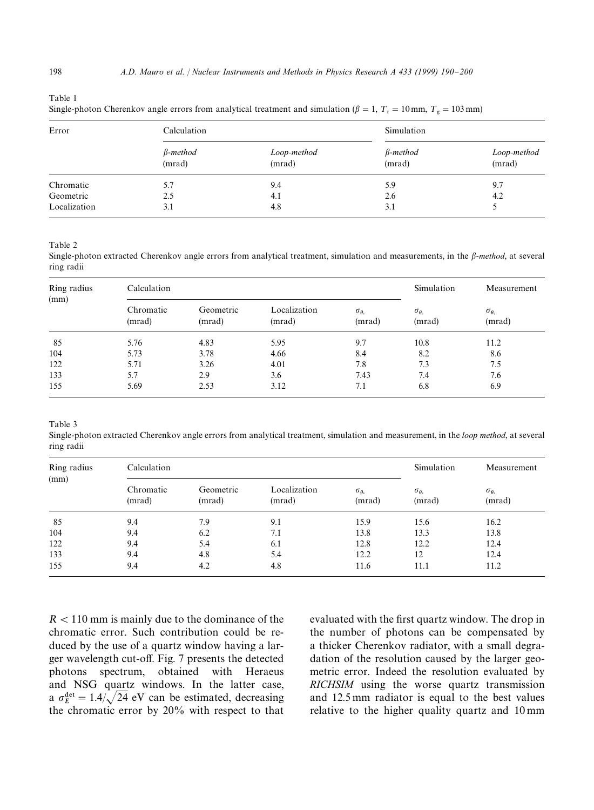Table 1

Single-photon Cherenkov angle errors from analytical treatment and simulation ( $\beta = 1$ ,  $T_r = 10$  mm,  $T_g = 103$  mm)

| Error        | Calculation               |                       | Simulation                |                       |  |
|--------------|---------------------------|-----------------------|---------------------------|-----------------------|--|
|              | $\beta$ -method<br>(mrad) | Loop-method<br>(mrad) | $\beta$ -method<br>(mrad) | Loop-method<br>(mrad) |  |
| Chromatic    | 5.7                       | 9.4                   | 5.9                       | 9.7                   |  |
| Geometric    | 2.5                       | 4.1                   | 2.6                       | 4.2                   |  |
| Localization | 3.1                       | 4.8                   | 3.1                       |                       |  |

Table 2

Single-photon extracted Cherenkov angle errors from analytical treatment, simulation and measurements, in the  $\beta$ -method, at several ring radii

| Ring radius<br>(mm) | Calculation         |                     |                        |                                     |                                     | Measurement                         |
|---------------------|---------------------|---------------------|------------------------|-------------------------------------|-------------------------------------|-------------------------------------|
|                     | Chromatic<br>(mrad) | Geometric<br>(mrad) | Localization<br>(mrad) | $\sigma_{\theta_{\rm c}}$<br>(mrad) | $\sigma_{\theta_{\rm c}}$<br>(mrad) | $\sigma_{\theta_{\rm c}}$<br>(mrad) |
| 85                  | 5.76                | 4.83                | 5.95                   | 9.7                                 | 10.8                                | 11.2                                |
| 104                 | 5.73                | 3.78                | 4.66                   | 8.4                                 | 8.2                                 | 8.6                                 |
| 122                 | 5.71                | 3.26                | 4.01                   | 7.8                                 | 7.3                                 | 7.5                                 |
| 133                 | 5.7                 | 2.9                 | 3.6                    | 7.43                                | 7.4                                 | 7.6                                 |
| 155                 | 5.69                | 2.53                | 3.12                   | 7.1                                 | 6.8                                 | 6.9                                 |

Table 3

Single-photon extracted Cherenkov angle errors from analytical treatment, simulation and measurement, in the *loop method*, at several ring radii

| Ring radius<br>(mm) | Calculation         |                     |                        |                                     | Simulation                    | Measurement                         |
|---------------------|---------------------|---------------------|------------------------|-------------------------------------|-------------------------------|-------------------------------------|
|                     | Chromatic<br>(mrad) | Geometric<br>(mrad) | Localization<br>(mrad) | $\sigma_{\theta_{\rm c}}$<br>(mrad) | $\sigma_{\theta_c}$<br>(mrad) | $\sigma_{\theta_{\rm c}}$<br>(mrad) |
| 85                  | 9.4                 | 7.9                 | 9.1                    | 15.9                                | 15.6                          | 16.2                                |
| 104                 | 9.4                 | 6.2                 | 7.1                    | 13.8                                | 13.3                          | 13.8                                |
| 122                 | 9.4                 | 5.4                 | 6.1                    | 12.8                                | 12.2                          | 12.4                                |
| 133                 | 9.4                 | 4.8                 | 5.4                    | 12.2                                | 12                            | 12.4                                |
| 155                 | 9.4                 | 4.2                 | 4.8                    | 11.6                                | 11.1                          | 11.2                                |

 $R < 110$  mm is mainly due to the dominance of the chromatic error. Such contribution could be reduced by the use of a quartz window having a larger wavelength cut-off. Fig. 7 presents the detected<br>photons spectrum, obtained with Heraeus spectrum, obtained with and NSG quartz windows. In the latter case, a  $\sigma_E^{\text{det}} = 1.4/\sqrt{24}$  eV can be estimated, decreasing the chromatic error by 20% with respect to that

evaluated with the first quartz window. The drop in the number of photons can be compensated by a thicker Cherenkov radiator, with a small degradation of the resolution caused by the larger geometric error. Indeed the resolution evaluated by *RICHSIM* using the worse quartz transmission and 12.5 mm radiator is equal to the best values relative to the higher quality quartz and 10 mm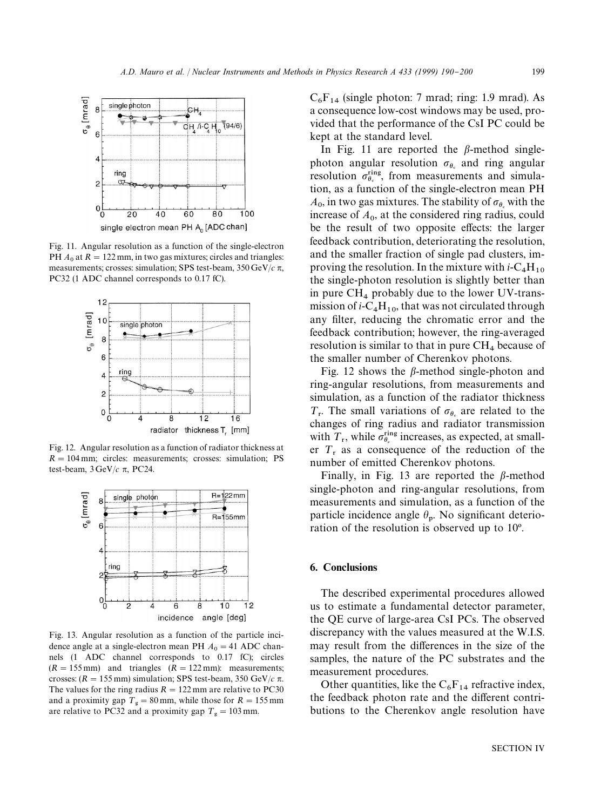

Fig. 11. Angular resolution as a function of the single-electron PH  $A_0$  at  $R = 122$  mm, in two gas mixtures; circles and triangles: measurements; crosses: simulation; SPS test-beam,  $350 \,\text{GeV}/c \pi$ , PC32 (1 ADC channel corresponds to 0.17 fC).



Fig. 12. Angular resolution as a function of radiator thickness at  $R = 104$  mm; circles: measurements; crosses: simulation; PS test-beam,  $3 \text{GeV}/c \pi$ , PC24.



Fig. 13. Angular resolution as a function of the particle incidence angle at a single-electron mean PH  $A_0 = 41$  ADC channels (1 ADC channel corresponds to 0.17 fC); circles  $(R = 155 \text{ mm})$  and triangles  $(R = 122 \text{ mm})$ : measurements; crosses:  $(R = 155$  mm) simulation; SPS test-beam, 350 GeV/ $c \pi$ . The values for the ring radius  $R = 122$  mm are relative to PC30 and a proximity gap  $T_g = 80$  mm, while those for  $R = 155$  mm are relative to PC32 and a proximity gap  $T_g = 103$  mm.

 $C_6F_{14}$  (single photon: 7 mrad; ring: 1.9 mrad). As a consequence low-cost windows may be used, provided that the performance of the CsI PC could be kept at the standard level.

In Fig. 11 are reported the  $\beta$ -method singlephoton angular resolution  $\sigma_{\theta_c}$  and ring angular resolution  $\sigma_{\theta}^{\text{ring}}$ , from measurements and simulation, as a function of the single-electron mean PH  $A_0$ , in two gas mixtures. The stability of  $\sigma_{\theta_s}$  with the  $\lambda_1$ <sub>0</sub>, m two gas mixtures. The stability of  $\sigma_{\theta_k}$  with the<br>increase of  $A_0$ , at the considered ring radius, could be the result of two opposite effects: the larger feedback contribution, deteriorating the resolution, and the smaller fraction of single pad clusters, improving the resolution. In the mixture with  $i$ -C<sub>4</sub>H<sub>10</sub> the single-photon resolution is slightly better than in pure  $CH_4$  probably due to the lower UV-transmission of  $i$ -C<sub>4</sub>H<sub>10</sub>, that was not circulated through any filter, reducing the chromatic error and the feedback contribution; however, the ring-averaged resolution is similar to that in pure  $CH<sub>4</sub>$  because of the smaller number of Cherenkov photons.

Fig. 12 shows the  $\beta$ -method single-photon and ring-angular resolutions, from measurements and simulation, as a function of the radiator thickness  $T_r$ . The small variations of  $\sigma_{\theta_s}$  are related to the changes of ring radius and radiator transmission with  $T_r$ , while  $\sigma_{9s}^{sing}$  increases, as expected, at smaller  $T<sub>r</sub>$  as a consequence of the reduction of the number of emitted Cherenkov photons.

Finally, in Fig. 13 are reported the  $\beta$ -method single-photon and ring-angular resolutions, from measurements and simulation, as a function of the particle incidence angle  $\theta_p$ . No significant deterioration of the resolution is observed up to  $10^{\circ}$ .

#### 6. Conclusions

The described experimental procedures allowed us to estimate a fundamental detector parameter, the QE curve of large-area CsI PCs. The observed discrepancy with the values measured at the W.I.S. may result from the differences in the size of the samples, the nature of the PC substrates and the measurement procedures.

Other quantities, like the  $C_6F_{14}$  refractive index, the feedback photon rate and the different contributions to the Cherenkov angle resolution have